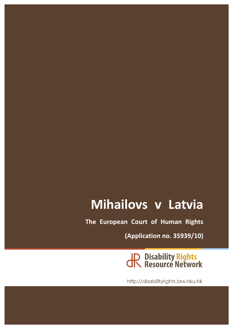# **Mihailovs v Latvia**

**The European Court of Human Rights** 

**(Application no. 35939/10)**

JP Disability Rights<br>JR Resource Network

http://disabilityrights.law.hku.hk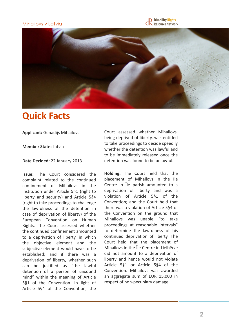### Mihailovs v Latvia





### **Quick Facts**

**Applicant:** Genadijs Mihailovs

#### **Member State: Latvia**

#### **Date Decided: 22 January 2013**

**Issue:** The Court considered the complaint related to the continued confinement of Mihailovs in the institution under Article 5§1 (right to liberty and security) and Article 5§4 (right to take proceedings to challenge the lawfulness of the detention in case of deprivation of liberty) of the European Convention on Human Rights. The Court assessed whether the continued confinement amounted to a deprivation of liberty, in which the objective element and the subjective element would have to be established; and if there was a deprivation of liberty, whether such can be justified as "the lawful detention of a person of unsound mind" within the meaning of Article 5§1 of the Convention. In light of Article 5§4 of the Convention, the

Court assessed whether Mihailovs, being deprived of liberty, was entitled to take proceedings to decide speedily whether the detention was lawful and to be immediately released once the detention was found to be unlawful.

**Holding:** The Court held that the placement of Mihailovs in the le Centre in  $\overline{\phantom{a}}$  le parish amounted to a deprivation of liberty and was a violation of Article 5§1 of the Convention; and the Court held that there was a violation of Article 5§4 of the Convention on the ground that Mihailovs was unable "to take proceedings at reasonable intervals" to determine the lawfulness of his continued deprivation of liberty. The Court held that the placement of Mihailovs in the lle Centre in Lielberze did not amount to a deprivation of liberty and hence would not violate Article 5§1 or Article 5§4 of the Convention. Mihailovs was awarded an aggregate sum of EUR 15,000 in respect of non-pecuniary damage.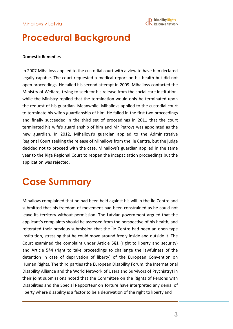## **Procedural Background**

#### **Domestic Remedies**

In 2007 Mihailovs applied to the custodial court with a view to have him declared legally capable. The court requested a medical report on his health but did not open proceedings. He failed his second attempt in 2009. Mihailovs contacted the Ministry of Welfare, trying to seek for his release from the social care institution, while the Ministry replied that the termination would only be terminated upon the request of his guardian. Meanwhile, Mihailovs applied to the custodial court to terminate his wife's guardianship of him. He failed in the first two proceedings and finally succeeded in the third set of proceedings in 2011 that the court terminated his wife's guardianship of him and Mr Petrovs was appointed as the new guardian. In 2012, Mihailovs's guardian applied to the Administrative Regional Court seeking the release of Mihailovs from the Ile Centre, but the judge decided not to proceed with the case. Mihailovs's guardian applied in the same year to the Riga Regional Court to reopen the incapacitation proceedings but the application was rejected.

## **Case Summary**

Mihailovs complained that he had been held against his will in the Ile Centre and submitted that his freedom of movement had been constrained as he could not leave its territory without permission. The Latvian government argued that the applicant's complaints should be assessed from the perspective of his health, and reiterated their previous submission that the le Centre had been an open type institution, stressing that he could move around freely inside and outside it. The Court examined the complaint under Article  $5§1$  (right to liberty and security) and Article 5§4 (right to take proceedings to challenge the lawfulness of the detention in case of deprivation of liberty) of the European Convention on Human Rights. The third parties (the European Disability Forum, the International Disability Alliance and the World Network of Users and Survivors of Psychiatry) in their joint submissions noted that the Committee on the Rights of Persons with Disabilities and the Special Rapporteur on Torture have interpreted any denial of liberty where disability is a factor to be a deprivation of the right to liberty and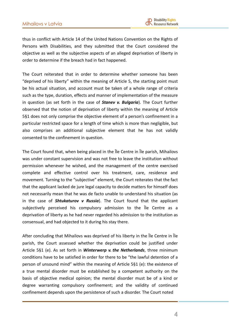thus in conflict with Article 14 of the United Nations Convention on the Rights of Persons with Disabilities, and they submitted that the Court considered the objective as well as the subjective aspects of an alleged deprivation of liberty in order to determine if the breach had in fact happened.

The Court reiterated that in order to determine whether someone has been "deprived of his liberty" within the meaning of Article 5, the starting point must be his actual situation, and account must be taken of a whole range of criteria such as the type, duration, effects and manner of implementation of the measure in question (as set forth in the case of **Stanev v. Bulgaria**). The Court further observed that the notion of deprivation of liberty within the meaning of Article 5§1 does not only comprise the objective element of a person's confinement in a particular restricted space for a length of time which is more than negligible, but also comprises an additional subjective element that he has not validly consented to the confinement in question.

The Court found that, when being placed in the Ile Centre in Ile parish, Mihailovs was under constant supervision and was not free to leave the institution without permission whenever he wished, and the management of the centre exercised complete and effective control over his treatment, care, residence and movement. Turning to the "subjective" element, the Court reiterates that the fact that the applicant lacked de jure legal capacity to decide matters for himself does not necessarily mean that he was de facto unable to understand his situation (as in the case of **Shtukaturov v Russia**). The Court found that the applicant subjectively perceived his compulsory admission to the lle Centre as a deprivation of liberty as he had never regarded his admission to the institution as consensual, and had objected to it during his stay there.

After concluding that Mihailovs was deprived of his liberty in the le Centre in le parish, the Court assessed whether the deprivation could be justified under Article 5§1 (e). As set forth in *Winterwerp v. the Netherlands*, three minimum conditions have to be satisfied in order for there to be "the lawful detention of a person of unsound mind" within the meaning of Article  $5§1$  (e): the existence of a true mental disorder must be established by a competent authority on the basis of objective medical opinion; the mental disorder must be of a kind or degree warranting compulsory confinement; and the validity of continued confinement depends upon the persistence of such a disorder. The Court noted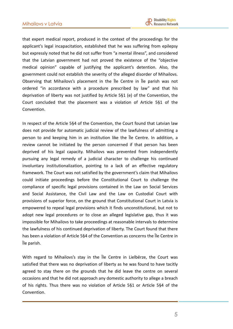that expert medical report, produced in the context of the proceedings for the applicant's legal incapacitation, established that he was suffering from epilepsy but expressly noted that he did not suffer from "a mental illness", and considered that the Latvian government had not proved the existence of the "objective medical opinion" capable of justifying the applicant's detention. Also, the government could not establish the severity of the alleged disorder of Mihailovs. Observing that Mihailovs's placement in the *Ile Centre in Ile parish was not* ordered "in accordance with a procedure prescribed by law" and that his deprivation of liberty was not justified by Article  $5§1$  (e) of the Convention, the Court concluded that the placement was a violation of Article  $5§1$  of the Convention.

In respect of the Article 5§4 of the Convention, the Court found that Latvian law does not provide for automatic judicial review of the lawfulness of admitting a person to and keeping him in an institution like the lie Centre. In addition, a review cannot be initiated by the person concerned if that person has been deprived of his legal capacity. Mihailovs was prevented from independently pursuing any legal remedy of a judicial character to challenge his continued involuntary institutionalization, pointing to a lack of an effective regulatory framework. The Court was not satisfied by the government's claim that Mihailovs could initiate proceedings before the Constitutional Court to challenge the compliance of specific legal provisions contained in the Law on Social Services and Social Assistance, the Civil Law and the Law on Custodial Court with provisions of superior force, on the ground that Constitutional Court in Latvia is empowered to repeal legal provisions which it finds unconstitutional, but not to adopt new legal procedures or to close an alleged legislative gap, thus it was impossible for Mihailovs to take proceedings at reasonable intervals to determine the lawfulness of his continued deprivation of liberty. The Court found that there has been a violation of Article 5§4 of the Convention as concerns the Ile Centre in Īle parish. 

With regard to Mihailovs's stay in the le Centre in Lielberze, the Court was satisfied that there was no deprivation of liberty as he was found to have tacitly agreed to stay there on the grounds that he did leave the centre on several occasions and that he did not approach any domestic authority to allege a breach of his rights. Thus there was no violation of Article 5§1 or Article 5§4 of the Convention.